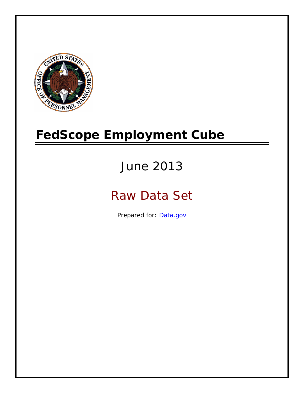

# **FedScope Employment Cube**

# June 2013

# Raw Data Set

Prepared for: [Data.gov](http://www.data.gov/)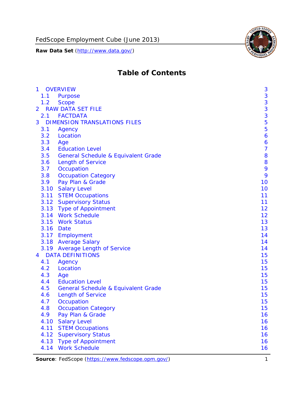

# **Table of Contents**

| $\mathbf{1}$   | <b>OVERVIEW</b>                                | 3              |
|----------------|------------------------------------------------|----------------|
| 1.1            | Purpose                                        | 3              |
| 1.2            | <b>Scope</b>                                   | 3              |
| $\overline{2}$ | <b>RAW DATA SET FILE</b>                       | 3              |
| 2.1            | <b>FACTDATA</b>                                | 3              |
| 3              | <b>DIMENSION TRANSLATIONS FILES</b>            | 5              |
| 3.1            | Agency                                         | 5              |
| 3.2            | Location                                       | 6              |
| 3.3            | Age                                            | 6              |
| 3.4            | <b>Education Level</b>                         | $\overline{7}$ |
| 3.5            | General Schedule & Equivalent Grade            | 8              |
| 3.6            | <b>Length of Service</b>                       | 8              |
| 3.7            | Occupation                                     | 9              |
| 3.8            | <b>Occupation Category</b>                     | 9              |
| 3.9            | Pay Plan & Grade                               | 10             |
| 3.10           | <b>Salary Level</b>                            | 10             |
|                | 3.11 STEM Occupations                          | 11             |
|                | 3.12 Supervisory Status                        | 11             |
|                | 3.13 Type of Appointment                       | 12             |
|                | 3.14 Work Schedule                             | 12             |
| 3.15           | <b>Work Status</b>                             | 13             |
|                | 3.16 Date                                      | 13             |
|                | 3.17 Employment                                | 14             |
|                | 3.18 Average Salary                            | 14             |
|                | 3.19 Average Length of Service                 | 14             |
| 4              | <b>DATA DEFINITIONS</b>                        | 15             |
| 4.1            | Agency                                         | 15             |
| 4.2            | Location                                       | 15             |
| 4.3            | Age                                            | 15             |
| 4.4            | <b>Education Level</b>                         | 15             |
| 4.5            | <b>General Schedule &amp; Equivalent Grade</b> | 15             |
| 4.6            | <b>Length of Service</b>                       | 15             |
| 4.7            | Occupation                                     | 15             |
| 4.8            | <b>Occupation Category</b>                     | 15             |
| 4.9            | Pay Plan & Grade                               | 16             |
| 4.10           | <b>Salary Level</b>                            | 16             |
| 4.11           | <b>STEM Occupations</b>                        | 16             |
| 4.12           | <b>Supervisory Status</b>                      | 16             |
| 4.13           | <b>Type of Appointment</b>                     | 16             |
| 4.14           | <b>Work Schedule</b>                           | 16             |

**Source**: FedScope (https://www.fedscope.opm.gov/) 1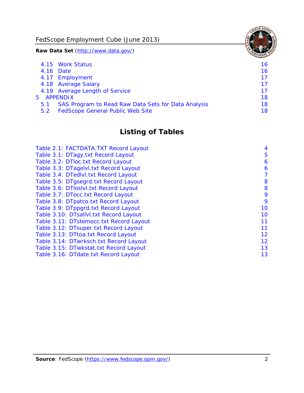FedScope Employment Cube (June 2013)

**Raw Data Set** (http://www.data.gov/)

|     | 4.15 Work Status                                    | 16 |
|-----|-----------------------------------------------------|----|
|     | 4.16 Date                                           | 16 |
|     | 4.17 Employment                                     | 17 |
|     | 4.18 Average Salary                                 | 17 |
|     | 4.19 Average Length of Service                      | 17 |
|     | 5 APPENDIX                                          | 18 |
| 5.1 | SAS Program to Read Raw Data Sets for Data Analysis | 18 |
| 5.2 | <b>FedScope General Public Web Site</b>             | 18 |

# **Listing of Tables**

| Table 2.1: FACTDATA.TXT Record Layout   | 4  |
|-----------------------------------------|----|
| Table 3.1: DTagy.txt Record Layout      | 5  |
| Table 3.2: DTloc.txt Record Layout      | 6  |
| Table 3.3: DTagelvl.txt Record Layout   | 6  |
| Table 3.4: DTedlvl.txt Record Layout    | 7  |
| Table 3.5: DTgsegrd.txt Record Layout   | 8  |
| Table 3.6: DTIoslyl.txt Record Layout   | 8  |
| Table 3.7: DTocc.txt Record Layout      | 9  |
| Table 3.8: DTpatco.txt Record Layout    | 9  |
| Table 3.9: DTppgrd.txt Record Layout    | 10 |
| Table 3.10: DTsallvl.txt Record Layout  | 10 |
| Table 3.11: DTstemocc.txt Record Layout | 11 |
| Table 3.12: DTsuper.txt Record Layout   | 11 |
| Table 3.13: DTtoa.txt Record Layout     | 12 |
| Table 3.14: DTwrksch.txt Record Layout  | 12 |
| Table 3.15: DTwkstat.txt Record Layout  | 13 |
| Table 3.16: DTdate.txt Record Layout    | 13 |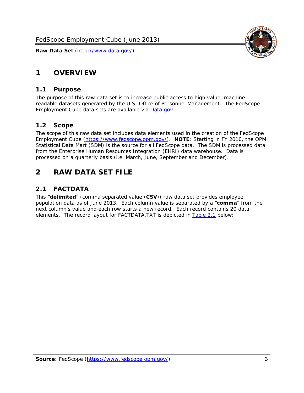

# <span id="page-3-0"></span>**1 OVERVIEW**

#### *1.1 Purpose*

<span id="page-3-1"></span>The purpose of this raw data set is to increase public access to high value, machine readable datasets generated by the U.S. Office of Personnel Management. The FedScope Employment Cube data sets are available via [Data.gov](http://www.data.gov/).

#### <span id="page-3-2"></span>*1.2 Scope*

The scope of this raw data set includes data elements used in the creation of the FedScope Employment Cube [\(https://www.fedscope.opm.gov/\)](https://www.fedscope.opm.gov/). **NOTE**: Starting in FY 2010, the OPM Statistical Data Mart (SDM) is the source for all FedScope data. The SDM is processed data from the Enterprise Human Resources Integration (EHRI) data warehouse. Data is processed on a quarterly basis (i.e. March, June, September and December).

# <span id="page-3-3"></span>**2 RAW DATA SET FILE**

## <span id="page-3-4"></span>*2.1 FACTDATA*

This "**delimited**" (comma separated value (**CSV**)) raw data set provides employee population data as of June 2013. Each column value is separated by a "**comma**" from the next column's value and each row starts a new record. Each record contains 20 data elements. The record layout for FACTDATA.TXT is depicted in [Table 2.1](#page-4-1) below: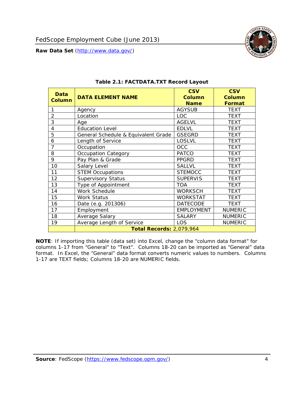<span id="page-4-1"></span><span id="page-4-0"></span>

**NOTE**: If importing this table (data set) into Excel, change the "column data format" for columns 1-17 from "General" to "Text". Columns 18-20 can be imported as "General" data format. In Excel, the "General" data format converts numeric values to numbers. Columns 1-17 are TEXT fields; Columns 18-20 are NUMERIC fields.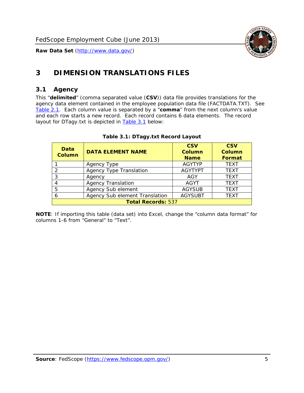

# <span id="page-5-0"></span>**3 DIMENSION TRANSLATIONS FILES**

#### <span id="page-5-1"></span>*3.1 Agency*

<span id="page-5-3"></span><span id="page-5-2"></span>This "**delimited**" (comma separated value (**CSV**)) data file provides translations for the agency data element contained in the employee population data file (FACTDATA.TXT). See [Table 2.1.](#page-4-1) Each column value is separated by a "**comma**" from the next column's value and each row starts a new record. Each record contains 6 data elements. The record layout for DTagy.txt is depicted in **Table 3.1** below:

| Data<br>Column            | <b>DATA ELEMENT NAME</b>       | <b>CSV</b><br><b>Column</b><br><b>Name</b> | <b>CSV</b><br>Column<br><b>Format</b> |
|---------------------------|--------------------------------|--------------------------------------------|---------------------------------------|
|                           | Agency Type                    | <b>AGYTYP</b>                              | <b>TEXT</b>                           |
| 2                         | <b>Agency Type Translation</b> | <b>AGYTYPT</b>                             | <b>TEXT</b>                           |
| 3                         | Agency                         | AGY                                        | <b>TEXT</b>                           |
|                           | <b>Agency Translation</b>      | <b>AGYT</b>                                | <b>TEXT</b>                           |
| -5                        | Agency Sub element             | <b>AGYSUB</b>                              | <b>TEXT</b>                           |
|                           | Agency Sub element Translation | <b>AGYSUBT</b>                             | <b>TEXT</b>                           |
| <b>Total Records: 537</b> |                                |                                            |                                       |

#### **Table 3.1: DTagy.txt Record Layout**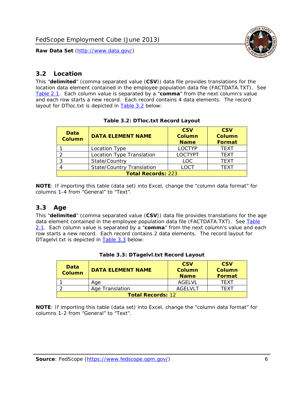

#### <span id="page-6-0"></span>*3.2 Location*

<span id="page-6-4"></span><span id="page-6-2"></span>This "**delimited**" (comma separated value (**CSV**)) data file provides translations for the location data element contained in the employee population data file (FACTDATA.TXT). See [Table 2.1.](#page-4-1) Each column value is separated by a "**comma**" from the next column's value and each row starts a new record. Each record contains 4 data elements. The record layout for DTloc.txt is depicted in [Table 3.2](#page-6-4) below:

| Data<br><b>Column</b>     | <b>DATA ELEMENT NAME</b>         | <b>CSV</b><br>Column<br><b>Name</b> | <b>CSV</b><br><b>Column</b><br><b>Format</b> |
|---------------------------|----------------------------------|-------------------------------------|----------------------------------------------|
|                           | Location Type                    | <b>LOCTYP</b>                       | <b>TEXT</b>                                  |
|                           | Location Type Translation        | <b>LOCTYPT</b>                      | <b>TEXT</b>                                  |
| ົ                         | State/Country                    | <b>LOC</b>                          | <b>TFXT</b>                                  |
|                           | <b>State/Country Translation</b> | LOCT                                | <b>TFXT</b>                                  |
| <b>Total Records: 223</b> |                                  |                                     |                                              |

#### **Table 3.2: DTloc.txt Record Layout**

**NOTE**: If importing this table (data set) into Excel, change the "column data format" for columns 1-4 from "General" to "Text".

#### <span id="page-6-1"></span>*3.3 Age*

<span id="page-6-5"></span><span id="page-6-3"></span>This "**delimited**" (comma separated value (**CSV**)) data file provides translations for the age data element contained in the employee population data file (FACTDATA.TXT). See [Table](#page-4-1) [2.1](#page-4-1). Each column value is separated by a "**comma**" from the next column's value and each row starts a new record. Each record contains 2 data elements. The record layout for DTagelvl.txt is depicted in **[Table 3.3](#page-6-5)** below:

| Data<br>Column           | <b>DATA ELEMENT NAME</b> | <b>CSV</b><br>Column<br><b>Name</b> | <b>CSV</b><br>Column<br><b>Format</b> |
|--------------------------|--------------------------|-------------------------------------|---------------------------------------|
|                          | Aae                      | AGFI VI                             | TFXT                                  |
|                          | Age Translation          | AGFI VI T                           | TFXT                                  |
| <b>Total Records: 12</b> |                          |                                     |                                       |

#### **Table 3.3: DTagelvl.txt Record Layout**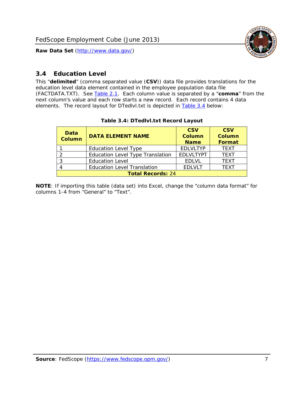

### <span id="page-7-0"></span>*3.4 Education Level*

<span id="page-7-2"></span><span id="page-7-1"></span>This "**delimited**" (comma separated value (**CSV**)) data file provides translations for the education level data element contained in the employee population data file (FACTDATA.TXT). See [Table 2.1](#page-4-1). Each column value is separated by a "**comma**" from the next column's value and each row starts a new record. Each record contains 4 data elements. The record layout for DTedlvl.txt is depicted in [Table 3.4](#page-7-2) below:

| Data<br><b>Column</b>    | <b>DATA ELEMENT NAME</b>                | <b>CSV</b><br><b>Column</b><br><b>Name</b> | <b>CSV</b><br><b>Column</b><br><b>Format</b> |
|--------------------------|-----------------------------------------|--------------------------------------------|----------------------------------------------|
|                          | <b>Education Level Type</b>             | <b>EDLVLTYP</b>                            | <b>TEXT</b>                                  |
|                          | <b>Education Level Type Translation</b> | <b>EDLVLTYPT</b>                           | <b>TEXT</b>                                  |
|                          | <b>Education Level</b>                  | <b>EDLVL</b>                               | <b>TEXT</b>                                  |
|                          | <b>Education Level Translation</b>      | <b>EDLVLT</b>                              | <b>TEXT</b>                                  |
| <b>Total Records: 24</b> |                                         |                                            |                                              |

#### **Table 3.4: DTedlvl.txt Record Layout**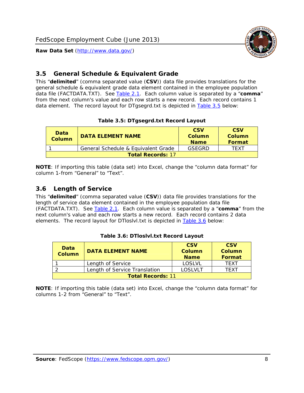

#### <span id="page-8-0"></span>*3.5 General Schedule & Equivalent Grade*

This "**delimited**" (comma separated value (**CSV**)) data file provides translations for the general schedule & equivalent grade data element contained in the employee population data file (FACTDATA.TXT). See [Table 2.1](#page-4-1). Each column value is separated by a "**comma**" from the next column's value and each row starts a new record. Each record contains 1 data element. The record layout for DTgsegrd.txt is depicted in [Table 3.5](#page-8-4) below:

#### **Table 3.5: DTgsegrd.txt Record Layout**

<span id="page-8-4"></span><span id="page-8-2"></span>

| Data<br>Column           | DATA FI FMFNT NAMF                  | <b>CSV</b><br>Column<br><b>Name</b> | <b>CSV</b><br>Column<br>Format |
|--------------------------|-------------------------------------|-------------------------------------|--------------------------------|
|                          | General Schedule & Equivalent Grade | GSEGRD                              | TFXT                           |
| <b>Total Records: 17</b> |                                     |                                     |                                |

**NOTE**: If importing this table (data set) into Excel, change the "column data format" for column 1-from "General" to "Text".

#### <span id="page-8-1"></span>*3.6 Length of Service*

<span id="page-8-5"></span>This "**delimited**" (comma separated value (**CSV**)) data file provides translations for the length of service data element contained in the employee population data file (FACTDATA.TXT). See [Table 2.1](#page-4-1). Each column value is separated by a "**comma**" from the next column's value and each row starts a new record. Each record contains 2 data elements. The record layout for DTloslvl.txt is depicted in [Table 3.6](#page-8-5) below:

<span id="page-8-3"></span>

| Data<br><b>Column</b>    | <b>DATA ELEMENT NAME</b>      | <b>CSV</b><br><b>Column</b><br><b>Name</b> | <b>CSV</b><br>Column<br>Format |
|--------------------------|-------------------------------|--------------------------------------------|--------------------------------|
|                          | Length of Service             | LOSLVL                                     | TFXT                           |
|                          | Length of Service Translation | LOSI VLT                                   | TFXT                           |
| <b>Total Records: 11</b> |                               |                                            |                                |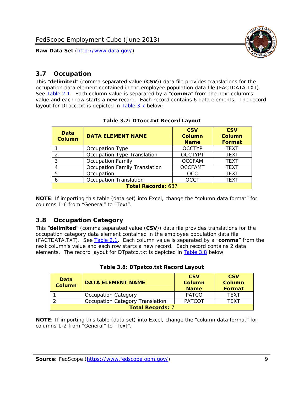

#### <span id="page-9-0"></span>*3.7 Occupation*

<span id="page-9-4"></span>This "**delimited**" (comma separated value (**CSV**)) data file provides translations for the occupation data element contained in the employee population data file (FACTDATA.TXT). See [Table 2.1](#page-4-1). Each column value is separated by a "**comma**" from the next column's value and each row starts a new record. Each record contains 6 data elements. The record layout for DTocc.txt is depicted in [Table 3.7](#page-9-4) below:

<span id="page-9-2"></span>

| Data<br><b>Column</b>     | <b>DATA ELEMENT NAME</b>             | <b>CSV</b><br>Column<br><b>Name</b> | <b>CSV</b><br><b>Column</b><br><b>Format</b> |
|---------------------------|--------------------------------------|-------------------------------------|----------------------------------------------|
|                           | Occupation Type                      | <b>OCCTYP</b>                       | <b>TEXT</b>                                  |
|                           | Occupation Type Translation          | <b>OCCTYPT</b>                      | <b>TEXT</b>                                  |
| 3                         | <b>Occupation Family</b>             | <b>OCCFAM</b>                       | <b>TEXT</b>                                  |
|                           | <b>Occupation Family Translation</b> | <b>OCCFAMT</b>                      | <b>TEXT</b>                                  |
| 5                         | Occupation                           | <b>OCC</b>                          | <b>TEXT</b>                                  |
|                           | <b>Occupation Translation</b>        | <b>OCCT</b>                         | <b>TEXT</b>                                  |
| <b>Total Records: 687</b> |                                      |                                     |                                              |

#### **Table 3.7: DTocc.txt Record Layout**

**NOTE**: If importing this table (data set) into Excel, change the "column data format" for columns 1-6 from "General" to "Text".

#### <span id="page-9-1"></span>*3.8 Occupation Category*

<span id="page-9-5"></span>This "**delimited**" (comma separated value (**CSV**)) data file provides translations for the occupation category data element contained in the employee population data file (FACTDATA.TXT). See [Table 2.1](#page-4-1). Each column value is separated by a "**comma**" from the next column's value and each row starts a new record. Each record contains 2 data elements. The record layout for DTpatco.txt is depicted in [Table 3.8](#page-9-5) below:

<span id="page-9-3"></span>

| Data<br><b>Column</b>   | <b>DATA ELEMENT NAME</b>        | <b>CSV</b><br>Column<br><b>Name</b> | <b>CSV</b><br>Column<br>Format |
|-------------------------|---------------------------------|-------------------------------------|--------------------------------|
|                         | <b>Occupation Category</b>      | <b>PATCO</b>                        | <b>TFXT</b>                    |
|                         | Occupation Category Translation | <b>PATCOT</b>                       | TFXT                           |
| <b>Total Records: 7</b> |                                 |                                     |                                |

|  |  | Table 3.8: DTpatco.txt Record Layout |  |  |
|--|--|--------------------------------------|--|--|
|--|--|--------------------------------------|--|--|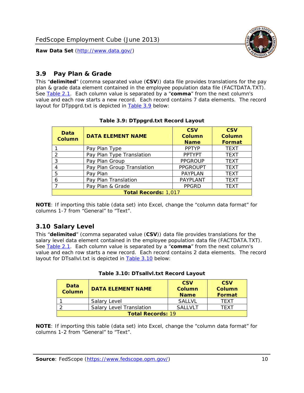

### <span id="page-10-0"></span>*3.9 Pay Plan & Grade*

<span id="page-10-4"></span>This "**delimited**" (comma separated value (**CSV**)) data file provides translations for the pay plan & grade data element contained in the employee population data file (FACTDATA.TXT). See [Table 2.1](#page-4-1). Each column value is separated by a "**comma**" from the next column's value and each row starts a new record. Each record contains 7 data elements. The record layout for DTppgrd.txt is depicted in **Table 3.9** below:

<span id="page-10-2"></span>

| Data<br>Column              | <b>DATA ELEMENT NAME</b>   | <b>CSV</b><br>Column<br><b>Name</b> | <b>CSV</b><br><b>Column</b><br><b>Format</b> |  |
|-----------------------------|----------------------------|-------------------------------------|----------------------------------------------|--|
|                             | Pay Plan Type              | <b>PPTYP</b>                        | <b>TEXT</b>                                  |  |
| $\mathcal{P}$               | Pay Plan Type Translation  | <b>PPTYPT</b>                       | <b>TEXT</b>                                  |  |
| 3                           | Pay Plan Group             | <b>PPGROUP</b>                      | <b>TEXT</b>                                  |  |
| 4                           | Pay Plan Group Translation | <b>PPGROUPT</b>                     | <b>TEXT</b>                                  |  |
| 5                           | Pay Plan                   | <b>PAYPLAN</b>                      | <b>TEXT</b>                                  |  |
| 6                           | Pay Plan Translation       | PAYPLANT                            | <b>TEXT</b>                                  |  |
|                             | Pay Plan & Grade           | <b>PPGRD</b>                        | <b>TEXT</b>                                  |  |
| <b>Total Records: 1,017</b> |                            |                                     |                                              |  |

#### **Table 3.9: DTppgrd.txt Record Layout**

**NOTE**: If importing this table (data set) into Excel, change the "column data format" for columns 1-7 from "General" to "Text".

## <span id="page-10-1"></span>*3.10 Salary Level*

<span id="page-10-5"></span><span id="page-10-3"></span>This "**delimited**" (comma separated value (**CSV**)) data file provides translations for the salary level data element contained in the employee population data file (FACTDATA.TXT). See [Table 2.1](#page-4-1). Each column value is separated by a "**comma**" from the next column's value and each row starts a new record. Each record contains 2 data elements. The record layout for DTsallvl.txt is depicted in [Table 3.10](#page-10-5) below:

| <b>Data</b><br>Column    | <b>DATA ELEMENT NAME</b>        | <b>CSV</b><br>Column<br><b>Name</b> | <b>CSV</b><br>Column<br><b>Format</b> |
|--------------------------|---------------------------------|-------------------------------------|---------------------------------------|
|                          | Salary Level                    | <b>SALLVL</b>                       | TFXT                                  |
|                          | <b>Salary Level Translation</b> | SAI I VI T                          | TEXT                                  |
| <b>Total Records: 19</b> |                                 |                                     |                                       |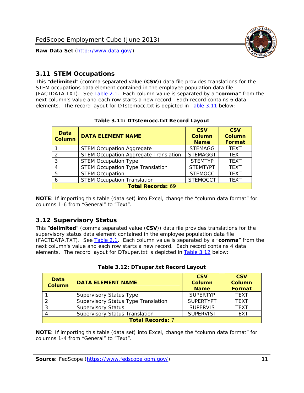

#### <span id="page-11-0"></span>*3.11 STEM Occupations*

<span id="page-11-4"></span>This "**delimited**" (comma separated value (**CSV**)) data file provides translations for the STEM occupations data element contained in the employee population data file (FACTDATA.TXT). See [Table 2.1](#page-4-1). Each column value is separated by a "**comma**" from the next column's value and each row starts a new record. Each record contains 6 data elements. The record layout for DTstemocc.txt is depicted in [Table 3.11](#page-11-4) below:

<span id="page-11-2"></span>

| <b>Data</b><br><b>Column</b> | <b>DATA ELEMENT NAME</b>                     | <b>CSV</b><br>Column<br><b>Name</b> | <b>CSV</b><br><b>Column</b><br><b>Format</b> |  |
|------------------------------|----------------------------------------------|-------------------------------------|----------------------------------------------|--|
|                              | <b>STEM Occupation Aggregate</b>             | <b>STEMAGG</b>                      | <b>TEXT</b>                                  |  |
|                              | <b>STEM Occupation Aggregate Translation</b> | <b>STEMAGGT</b>                     | <b>TEXT</b>                                  |  |
| 3                            | <b>STEM Occupation Type</b>                  | <b>STEMTYP</b>                      | <b>TEXT</b>                                  |  |
|                              | <b>STEM Occupation Type Translation</b>      | <b>STEMTYPT</b>                     | <b>TEXT</b>                                  |  |
| 5                            | <b>STEM Occupation</b>                       | <b>STEMOCC</b>                      | <b>TEXT</b>                                  |  |
|                              | <b>STEM Occupation Translation</b>           | <b>STEMOCCT</b>                     | <b>TEXT</b>                                  |  |
| <b>Total Records: 69</b>     |                                              |                                     |                                              |  |

#### **Table 3.11: DTstemocc.txt Record Layout**

**NOTE**: If importing this table (data set) into Excel, change the "column data format" for columns 1-6 from "General" to "Text".

## <span id="page-11-1"></span>*3.12 Supervisory Status*

This "**delimited**" (comma separated value (**CSV**)) data file provides translations for the supervisory status data element contained in the employee population data file (FACTDATA.TXT). See [Table 2.1](#page-4-1). Each column value is separated by a "**comma**" from the next column's value and each row starts a new record. Each record contains 4 data elements. The record layout for DTsuper.txt is depicted in [Table 3.12](#page-11-5) below:

<span id="page-11-5"></span><span id="page-11-3"></span>

| Data<br><b>Column</b>   | <b>DATA ELEMENT NAME</b>              | <b>CSV</b><br><b>Column</b><br><b>Name</b> | <b>CSV</b><br><b>Column</b><br>Format |  |
|-------------------------|---------------------------------------|--------------------------------------------|---------------------------------------|--|
|                         | <b>Supervisory Status Type</b>        | <b>SUPFRTYP</b>                            | <b>TEXT</b>                           |  |
|                         | Supervisory Status Type Translation   | <b>SUPERTYPT</b>                           | <b>TEXT</b>                           |  |
|                         | <b>Supervisory Status</b>             | <b>SUPERVIS</b>                            | <b>TEXT</b>                           |  |
|                         | <b>Supervisory Status Translation</b> | <b>SUPERVIST</b>                           | <b>TEXT</b>                           |  |
| <b>Total Records: 7</b> |                                       |                                            |                                       |  |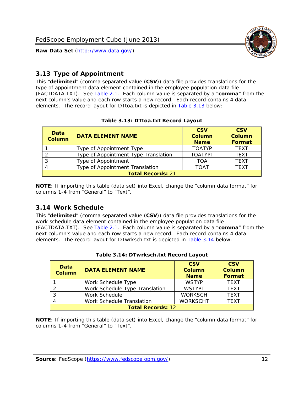

### <span id="page-12-0"></span>*3.13 Type of Appointment*

This "**delimited**" (comma separated value (**CSV**)) data file provides translations for the type of appointment data element contained in the employee population data file (FACTDATA.TXT). See [Table 2.1](#page-4-1). Each column value is separated by a "**comma**" from the next column's value and each row starts a new record. Each record contains 4 data elements. The record layout for DTtoa.txt is depicted in [Table 3.13](#page-12-4) below:

<span id="page-12-4"></span><span id="page-12-2"></span>

| Data<br><b>Column</b>    | <b>DATA ELEMENT NAME</b>             | <b>CSV</b><br><b>Column</b><br><b>Name</b> | <b>CSV</b><br><b>Column</b><br>Format |  |
|--------------------------|--------------------------------------|--------------------------------------------|---------------------------------------|--|
|                          | Type of Appointment Type             | <b>TOATYP</b>                              | <b>TEXT</b>                           |  |
|                          | Type of Appointment Type Translation | <b>TOATYPT</b>                             | <b>TEXT</b>                           |  |
|                          | Type of Appointment                  | TOA                                        | <b>TEXT</b>                           |  |
|                          | Type of Appointment Translation      | <b>TOAT</b>                                | <b>TEXT</b>                           |  |
| <b>Total Records: 21</b> |                                      |                                            |                                       |  |

#### **Table 3.13: DTtoa.txt Record Layout**

**NOTE**: If importing this table (data set) into Excel, change the "column data format" for columns 1-4 from "General" to "Text".

#### <span id="page-12-1"></span>*3.14 Work Schedule*

<span id="page-12-5"></span>This "**delimited**" (comma separated value (**CSV**)) data file provides translations for the work schedule data element contained in the employee population data file (FACTDATA.TXT). See [Table 2.1](#page-4-1). Each column value is separated by a "**comma**" from the next column's value and each row starts a new record. Each record contains 4 data elements. The record layout for DTwrksch.txt is depicted in [Table 3.14](#page-12-5) below:

<span id="page-12-3"></span>

| Data<br>Column           | <b>DATA ELEMENT NAME</b>       | <b>CSV</b><br><b>Column</b><br><b>Name</b> | <b>CSV</b><br>Column<br><b>Format</b> |
|--------------------------|--------------------------------|--------------------------------------------|---------------------------------------|
|                          | Work Schedule Type             | <b>WSTYP</b>                               | <b>TEXT</b>                           |
| 2                        | Work Schedule Type Translation | <b>WSTYPT</b>                              | <b>TFXT</b>                           |
| 3                        | Work Schedule                  | <b>WORKSCH</b>                             | <b>TFXT</b>                           |
|                          | Work Schedule Translation      | <b>WORKSCHT</b>                            | <b>TFXT</b>                           |
| <b>Total Records: 12</b> |                                |                                            |                                       |

|  | Table 3.14: DTwrksch.txt Record Layout |  |
|--|----------------------------------------|--|
|  |                                        |  |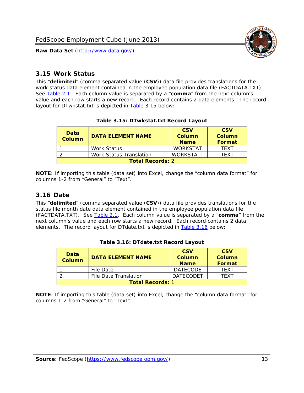

#### <span id="page-13-0"></span>*3.15 Work Status*

<span id="page-13-4"></span><span id="page-13-2"></span>This "**delimited**" (comma separated value (**CSV**)) data file provides translations for the work status data element contained in the employee population data file (FACTDATA.TXT). See [Table 2.1](#page-4-1). Each column value is separated by a "**comma**" from the next column's value and each row starts a new record. Each record contains 2 data elements. The record layout for DTwkstat.txt is depicted in [Table 3.15](#page-13-4) below:

| Data<br><b>Column</b>   | <b>DATA ELEMENT NAME</b>       | <b>CSV</b><br>Column<br><b>Name</b> | <b>CSV</b><br>Column<br>Format |
|-------------------------|--------------------------------|-------------------------------------|--------------------------------|
|                         | Work Status                    | <b>WORKSTAT</b>                     | TFXT                           |
|                         | <b>Work Status Translation</b> | <b>WORKSTATT</b>                    | TFXT                           |
| <b>Total Records: 2</b> |                                |                                     |                                |

#### **Table 3.15: DTwkstat.txt Record Layout**

**NOTE**: If importing this table (data set) into Excel, change the "column data format" for columns 1-2 from "General" to "Text".

#### <span id="page-13-1"></span>*3.16 Date*

<span id="page-13-5"></span><span id="page-13-3"></span>This "**delimited**" (comma separated value (**CSV**)) data file provides translations for the status file month date data element contained in the employee population data file (FACTDATA.TXT). See [Table 2.1](#page-4-1). Each column value is separated by a "**comma**" from the next column's value and each row starts a new record. Each record contains 2 data elements. The record layout for DTdate.txt is depicted in [Table 3.16](#page-13-5) below:

| Data<br><b>Column</b>   | <b>DATA ELEMENT NAME</b> | <b>CSV</b><br>Column<br><b>Name</b> | <b>CSV</b><br>Column<br><b>Format</b> |
|-------------------------|--------------------------|-------------------------------------|---------------------------------------|
|                         | File Date                | <b>DATECODE</b>                     | TFXT                                  |
|                         | File Date Translation    | <b>DATECODET</b>                    | TFXT                                  |
| <b>Total Records: 1</b> |                          |                                     |                                       |

**Table 3.16: DTdate.txt Record Layout**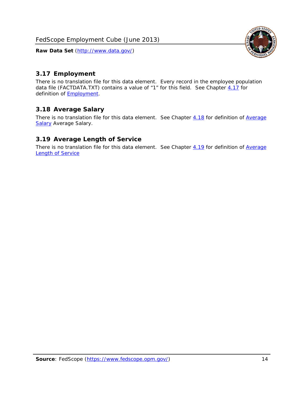<span id="page-14-0"></span>

There is no translation file for this data element. Every record in the employee population data file (FACTDATA.TXT) contains a value of "1" for this field. See Chapter [4.17](#page-16-8) for definition of **Employment**.

#### <span id="page-14-1"></span>*3.18 Average Salary*

There is no translation file for this data element. See Chapter [4.18](#page-17-1) for definition of [Average](#page-17-1) **[Salary](#page-17-1) [Average Salary.](#page-17-1)** 

#### <span id="page-14-2"></span>*3.19 Average Length of Service*

There is no translation file for this data element. See Chapter [4.19](#page-17-2) for definition of [Average](#page-17-2) Length of Service

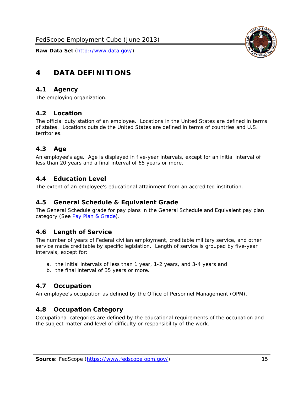

# <span id="page-15-0"></span>**4 DATA DEFINITIONS**

#### <span id="page-15-1"></span>*4.1 Agency*

The employing organization.

## <span id="page-15-2"></span>*4.2 Location*

The official duty station of an employee. Locations in the United States are defined in terms of states. Locations outside the United States are defined in terms of countries and U.S. territories.

#### <span id="page-15-3"></span>*4.3 Age*

An employee's age. Age is displayed in five-year intervals, except for an initial interval of less than 20 years and a final interval of 65 years or more.

#### <span id="page-15-4"></span>*4.4 Education Level*

The extent of an employee's educational attainment from an accredited institution.

#### <span id="page-15-5"></span>*4.5 General Schedule & Equivalent Grade*

The General Schedule grade for pay plans in the General Schedule and Equivalent pay plan category (See [Pay Plan & Grade](#page-16-0)).

#### <span id="page-15-6"></span>*4.6 Length of Service*

The number of years of Federal civilian employment, creditable military service, and other service made creditable by specific legislation. Length of service is grouped by five-year intervals, except for:

- a. the initial intervals of less than 1 year, 1-2 years, and 3-4 years and
- b. the final interval of 35 years or more.

#### <span id="page-15-7"></span>*4.7 Occupation*

An employee's occupation as defined by the Office of Personnel Management (OPM).

#### <span id="page-15-8"></span>*4.8 Occupation Category*

Occupational categories are defined by the educational requirements of the occupation and the subject matter and level of difficulty or responsibility of the work.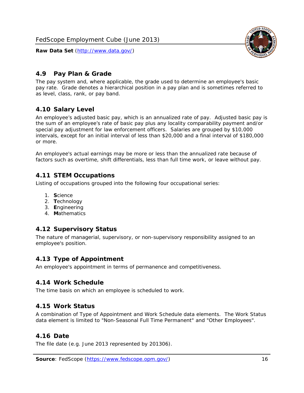

### <span id="page-16-0"></span>*4.9 Pay Plan & Grade*

The pay system and, where applicable, the grade used to determine an employee's basic pay rate. Grade denotes a hierarchical position in a pay plan and is sometimes referred to as level, class, rank, or pay band.

## <span id="page-16-1"></span>*4.10 Salary Level*

An employee's adjusted basic pay, which is an annualized rate of pay. Adjusted basic pay is the sum of an employee's rate of basic pay plus any locality comparability payment and/or special pay adjustment for law enforcement officers. Salaries are grouped by \$10,000 intervals, except for an initial interval of less than \$20,000 and a final interval of \$180,000 or more.

An employee's actual earnings may be more or less than the annualized rate because of factors such as overtime, shift differentials, less than full time work, or leave without pay.

#### <span id="page-16-2"></span>*4.11 STEM Occupations*

Listing of occupations grouped into the following four occupational series:

- 1. **S**cience
- 2. **T**echnology
- 3. **E**ngineering
- 4. **M**athematics

#### <span id="page-16-3"></span>*4.12 Supervisory Status*

The nature of managerial, supervisory, or non-supervisory responsibility assigned to an employee's position.

#### <span id="page-16-4"></span>*4.13 Type of Appointment*

An employee's appointment in terms of permanence and competitiveness.

#### <span id="page-16-5"></span>*4.14 Work Schedule*

The time basis on which an employee is scheduled to work.

#### <span id="page-16-6"></span>*4.15 Work Status*

A combination of Type of Appointment and Work Schedule data elements. The Work Status data element is limited to "Non-Seasonal Full Time Permanent" and "Other Employees".

#### <span id="page-16-7"></span>*4.16 Date*

<span id="page-16-8"></span>The file date (e.g. June 2013 represented by 201306).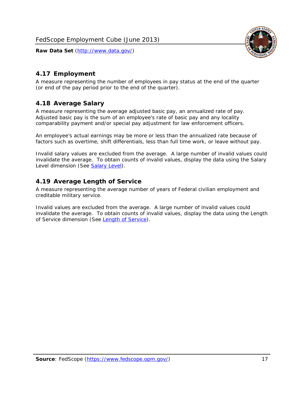

## <span id="page-17-0"></span>*4.17 Employment*

A measure representing the number of employees in pay status at the end of the quarter (or end of the pay period prior to the end of the quarter).

#### <span id="page-17-1"></span>*4.18 Average Salary*

A measure representing the average adjusted basic pay, an annualized rate of pay. Adjusted basic pay is the sum of an employee's rate of basic pay and any locality comparability payment and/or special pay adjustment for law enforcement officers.

An employee's actual earnings may be more or less than the annualized rate because of factors such as overtime, shift differentials, less than full time work, or leave without pay.

Invalid salary values are excluded from the average. A large number of invalid values could invalidate the average. To obtain counts of invalid values, display the data using the Salary Level dimension (See [Salary Level\)](#page-16-1).

#### <span id="page-17-2"></span>*4.19 Average Length of Service*

A measure representing the average number of years of Federal civilian employment and creditable military service.

Invalid values are excluded from the average. A large number of invalid values could invalidate the average. To obtain counts of invalid values, display the data using the Length of Service dimension (See [Length of Service](#page-15-6)).